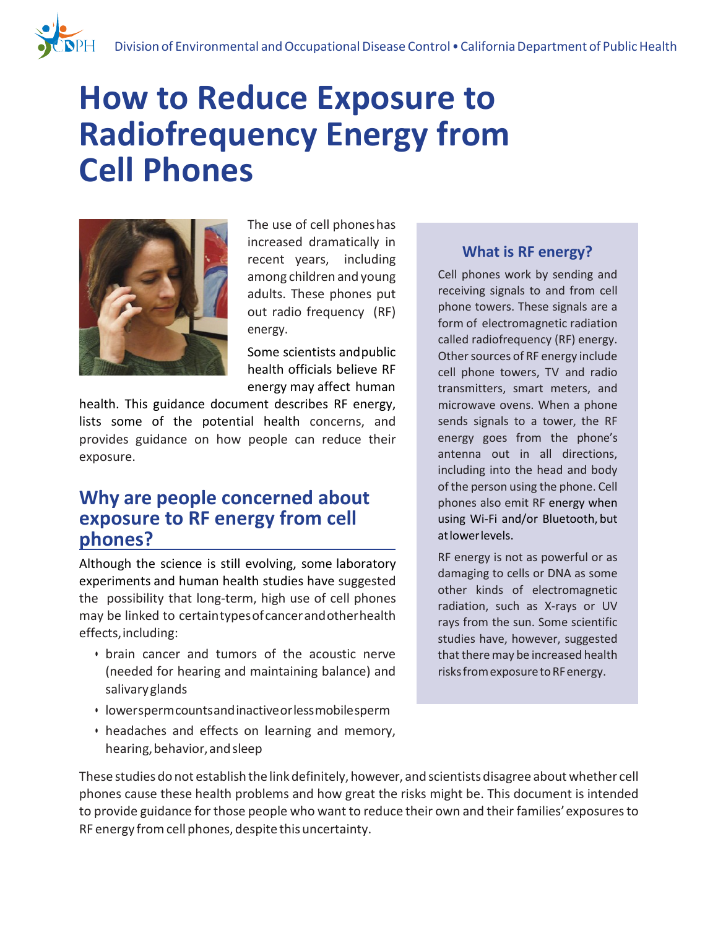# **How to Reduce Exposure to Radiofrequency Energy from Cell Phones**



The use of cell phoneshas increased dramatically in recent years, including among children and young adults. These phones put out radio frequency (RF) energy.

Some scientists andpublic health officials believe RF energy may affect human

health. This guidance document describes RF energy, lists some of the potential health concerns, and provides guidance on how people can reduce their exposure.

## **Why are people concerned about exposure to RF energy from cell phones?**

Although the science is still evolving, some laboratory experiments and human health studies have suggested the possibility that long-term, high use of cell phones may be linked to certaintypesofcancerandotherhealth effects,including:

- brain cancer and tumors of the acoustic nerve (needed for hearing and maintaining balance) and salivaryglands
- lowerspermcountsandinactiveorlessmobilesperm
- headaches and effects on learning and memory, hearing, behavior, and sleep

#### **What is RF energy?**

Cell phones work by sending and receiving signals to and from cell phone towers. These signals are a form of electromagnetic radiation called radiofrequency (RF) energy. Other sources of RF energy include cell phone towers, TV and radio transmitters, smart meters, and microwave ovens. When a phone sends signals to a tower, the RF energy goes from the phone's antenna out in all directions, including into the head and body of the person using the phone. Cell phones also emit RF energy when using Wi-Fi and/or Bluetooth, but atlowerlevels.

RF energy is not as powerful or as damaging to cells or DNA as some other kinds of electromagnetic radiation, such as X-rays or UV rays from the sun. Some scientific studies have, however, suggested that there may be increased health risks from exposure to RF energy.

These studies do not establish the link definitely, however, and scientists disagree about whether cell phones cause these health problems and how great the risks might be. This document is intended to provide guidance for those people who want to reduce their own and their families'exposuresto RF energy from cell phones, despite this uncertainty.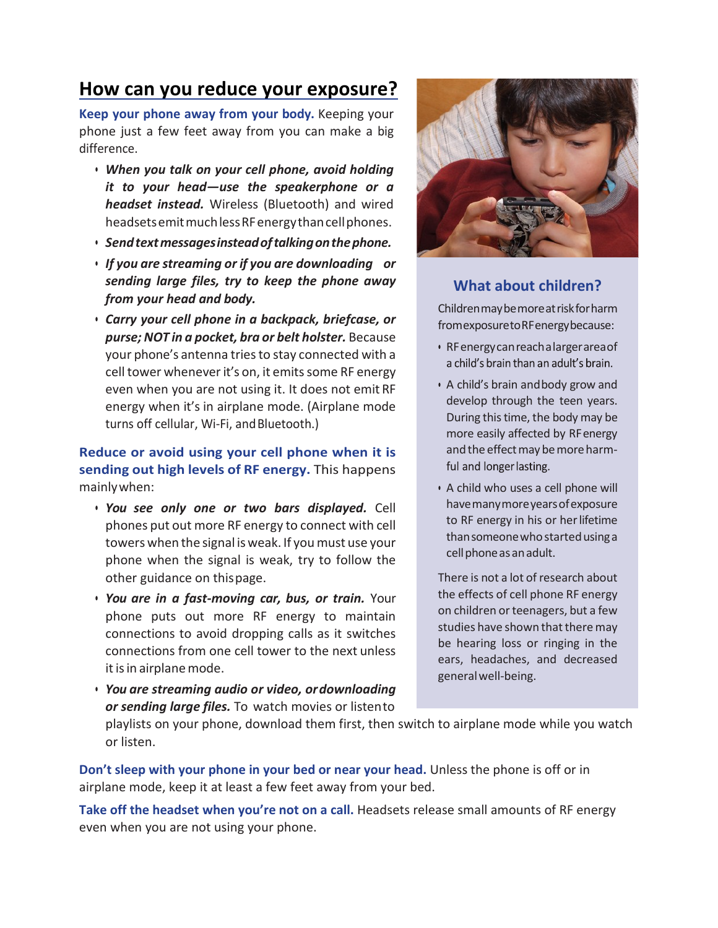## **How can you reduce your exposure?**

**Keep your phone away from your body.** Keeping your phone just a few feet away from you can make a big difference.

- *When you talk on your cell phone, avoid holding it to your head—use the speakerphone or a headset instead.* Wireless (Bluetooth) and wired headsets emit much less RF energy than cell phones.
- *Sendtextmessagesinsteadoftalkingonthephone.*
- *If you are streaming or if you are downloading or sending large files, try to keep the phone away from your head and body.*
- *Carry your cell phone in a backpack, briefcase, or purse; NOT in a pocket, bra or belt holster.* Because your phone's antenna tries to stay connected with a cell tower whenever it's on, it emits some RF energy even when you are not using it. It does not emit RF energy when it's in airplane mode. (Airplane mode turns off cellular, Wi-Fi, and Bluetooth.)

**Reduce or avoid using your cell phone when it is sending out high levels of RF energy.** This happens mainlywhen:

- *You see only one or two bars displayed.* Cell phones put out more RF energy to connect with cell towers when the signal isweak. If youmust use your phone when the signal is weak, try to follow the other guidance on thispage.
- *You are in a fast-moving car, bus, or train.* Your phone puts out more RF energy to maintain connections to avoid dropping calls as it switches connections from one cell tower to the next unless it is in airplane mode.
- *You are streaming audio or video, ordownloading or sending large files.* To watch movies or listento



### **What about children?**

Childrenmaybemoreatriskforharm fromexposuretoRFenergybecause:

- RFenergycanreach a largerareaof a child's brain than an adult's brain.
- A child's brain andbody grow and develop through the teen years. During this time, the body may be more easily affected by RFenergy and the effect may be more harmful and longer lasting.
- A child who uses a cell phone will havemanymoreyearsofexposure to RF energy in his or herlifetime thansomeonewhostartedusinga cell phone as an adult.

There is not a lot of research about the effects of cell phone RF energy on children or teenagers, but a few studies have shown that there may be hearing loss or ringing in the ears, headaches, and decreased generalwell-being.

playlists on your phone, download them first, then switch to airplane mode while you watch or listen.

**Don't sleep with your phone in your bed or near your head.** Unless the phone is off or in airplane mode, keep it at least a few feet away from your bed.

**Take off the headset when you're not on a call.** Headsets release small amounts of RF energy even when you are not using your phone.